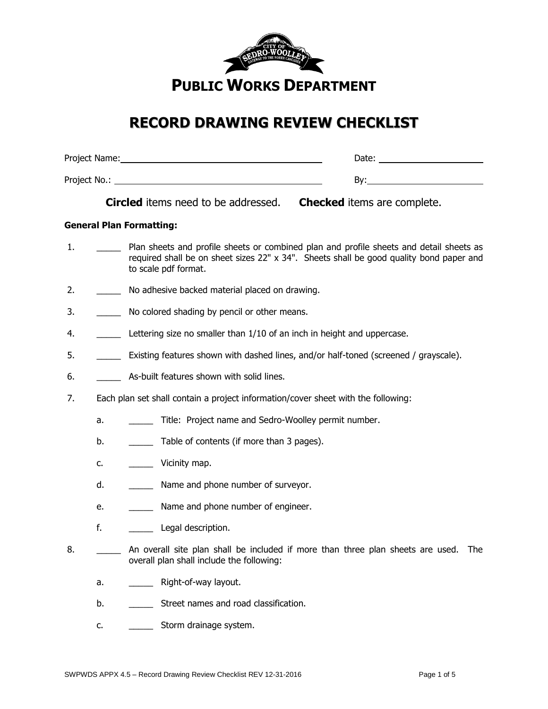

# **RECORD DRAWING REVIEW CHECKLIST**

| Project Name: | Date: |
|---------------|-------|
| Project No.:  | Bv:   |

**Circled** items need to be addressed. **Checked** items are complete.

# **General Plan Formatting:**

- 1. \_\_\_\_\_\_\_\_\_ Plan sheets and profile sheets or combined plan and profile sheets and detail sheets as required shall be on sheet sizes 22" x 34". Sheets shall be good quality bond paper and to scale pdf format.
- 2. \_\_\_\_\_\_\_\_ No adhesive backed material placed on drawing.
- 3. No colored shading by pencil or other means.
- 4. **\_\_\_\_\_** Lettering size no smaller than 1/10 of an inch in height and uppercase.
- 5. **\_\_\_\_\_\_\_\_\_\_** Existing features shown with dashed lines, and/or half-toned (screened / grayscale).
- 6. **As-built features shown with solid lines.**
- 7. Each plan set shall contain a project information/cover sheet with the following:
	- a. Title: Project name and Sedro-Woolley permit number.
	- b. Table of contents (if more than 3 pages).
	- c. \_\_\_\_\_\_\_\_ Vicinity map.
	- d. \_\_\_\_\_\_\_\_ Name and phone number of surveyor.
	- e. **\_\_\_\_\_** Name and phone number of engineer.
	- f. **Legal description.**
- 8. **An overall site plan shall be included if more than three plan sheets are used.** The overall plan shall include the following:
	- a. \_\_\_\_\_\_\_\_ Right-of-way layout.
	- b. Street names and road classification.
	- c. \_\_\_\_\_\_\_\_\_\_ Storm drainage system.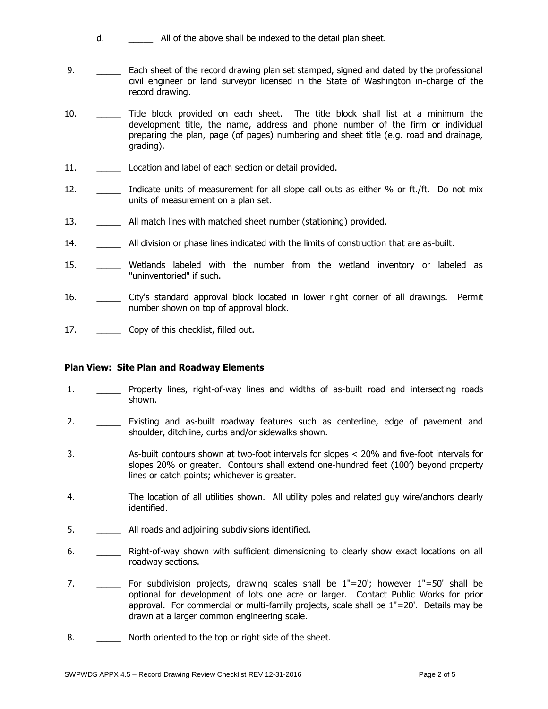- d. \_\_\_\_\_ All of the above shall be indexed to the detail plan sheet.
- 9. **\_\_\_\_\_\_** Each sheet of the record drawing plan set stamped, signed and dated by the professional civil engineer or land surveyor licensed in the State of Washington in-charge of the record drawing.
- 10. Title block provided on each sheet. The title block shall list at a minimum the development title, the name, address and phone number of the firm or individual preparing the plan, page (of pages) numbering and sheet title (e.g. road and drainage, grading).
- 11. **Location and label of each section or detail provided.**
- 12. \_\_\_\_\_\_\_ Indicate units of measurement for all slope call outs as either % or ft./ft. Do not mix units of measurement on a plan set.
- 13. \_\_\_\_\_\_\_\_ All match lines with matched sheet number (stationing) provided.
- 14. \_\_\_\_\_ All division or phase lines indicated with the limits of construction that are as-built.
- 15. \_\_\_\_\_ Wetlands labeled with the number from the wetland inventory or labeled as "uninventoried" if such.
- 16. \_\_\_\_\_\_ City's standard approval block located in lower right corner of all drawings. Permit number shown on top of approval block.
- 17. \_\_\_\_\_\_\_\_\_\_ Copy of this checklist, filled out.

# **Plan View: Site Plan and Roadway Elements**

- 1. \_\_\_\_\_\_\_\_ Property lines, right-of-way lines and widths of as-built road and intersecting roads shown.
- 2. \_\_\_\_\_\_\_ Existing and as-built roadway features such as centerline, edge of pavement and shoulder, ditchline, curbs and/or sidewalks shown.
- 3. \_\_\_\_\_ As-built contours shown at two-foot intervals for slopes < 20% and five-foot intervals for slopes 20% or greater. Contours shall extend one-hundred feet (100') beyond property lines or catch points; whichever is greater.
- 4. \_\_\_\_\_\_ The location of all utilities shown. All utility poles and related guy wire/anchors clearly identified.
- 5. **\_\_\_\_\_** All roads and adjoining subdivisions identified.
- 6. \_\_\_\_\_\_\_\_ Right-of-way shown with sufficient dimensioning to clearly show exact locations on all roadway sections.
- 7.  $\blacksquare$  For subdivision projects, drawing scales shall be  $1"=20'$ ; however  $1"=50'$  shall be optional for development of lots one acre or larger. Contact Public Works for prior approval. For commercial or multi-family projects, scale shall be 1"=20'. Details may be drawn at a larger common engineering scale.
- 8. \_\_\_\_\_\_\_ North oriented to the top or right side of the sheet.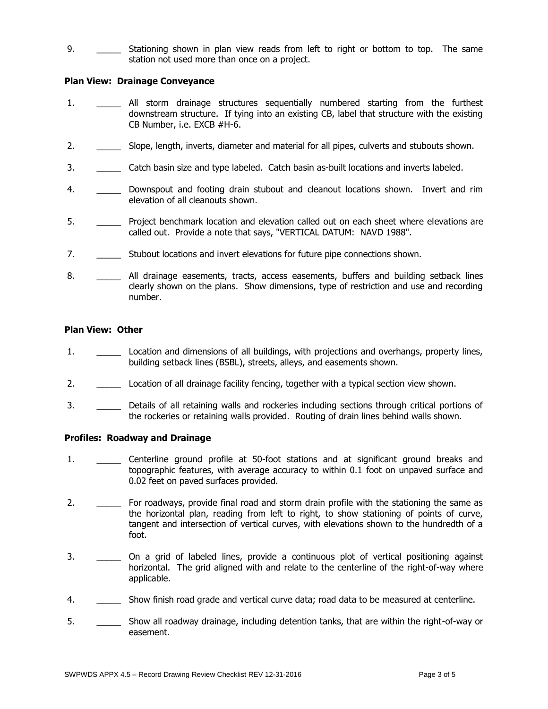9. Stationing shown in plan view reads from left to right or bottom to top. The same station not used more than once on a project.

## **Plan View: Drainage Conveyance**

- 1. All storm drainage structures sequentially numbered starting from the furthest downstream structure. If tying into an existing CB, label that structure with the existing CB Number, i.e. EXCB #H-6.
- 2. \_\_\_\_\_ Slope, length, inverts, diameter and material for all pipes, culverts and stubouts shown.
- 3. \_\_\_\_\_ Catch basin size and type labeled. Catch basin as-built locations and inverts labeled.
- 4. \_\_\_\_\_\_\_\_ Downspout and footing drain stubout and cleanout locations shown. Invert and rim elevation of all cleanouts shown.
- 5. \_\_\_\_\_\_ Project benchmark location and elevation called out on each sheet where elevations are called out. Provide a note that says, "VERTICAL DATUM: NAVD 1988".
- 7. \_\_\_\_\_ Stubout locations and invert elevations for future pipe connections shown.
- 8. \_\_\_\_\_\_ All drainage easements, tracts, access easements, buffers and building setback lines clearly shown on the plans. Show dimensions, type of restriction and use and recording number.

#### **Plan View: Other**

- 1. \_\_\_\_\_ Location and dimensions of all buildings, with projections and overhangs, property lines, building setback lines (BSBL), streets, alleys, and easements shown.
- 2. **\_\_\_\_\_** Location of all drainage facility fencing, together with a typical section view shown.
- 3. \_\_\_\_\_ Details of all retaining walls and rockeries including sections through critical portions of the rockeries or retaining walls provided. Routing of drain lines behind walls shown.

## **Profiles: Roadway and Drainage**

- 1. \_\_\_\_\_ Centerline ground profile at 50-foot stations and at significant ground breaks and topographic features, with average accuracy to within 0.1 foot on unpaved surface and 0.02 feet on paved surfaces provided.
- 2. \_\_\_\_\_ For roadways, provide final road and storm drain profile with the stationing the same as the horizontal plan, reading from left to right, to show stationing of points of curve, tangent and intersection of vertical curves, with elevations shown to the hundredth of a foot.
- 3. \_\_\_\_\_\_\_\_ On a grid of labeled lines, provide a continuous plot of vertical positioning against horizontal. The grid aligned with and relate to the centerline of the right-of-way where applicable.
- 4. Show finish road grade and vertical curve data; road data to be measured at centerline.
- 5. \_\_\_\_\_ Show all roadway drainage, including detention tanks, that are within the right-of-way or easement.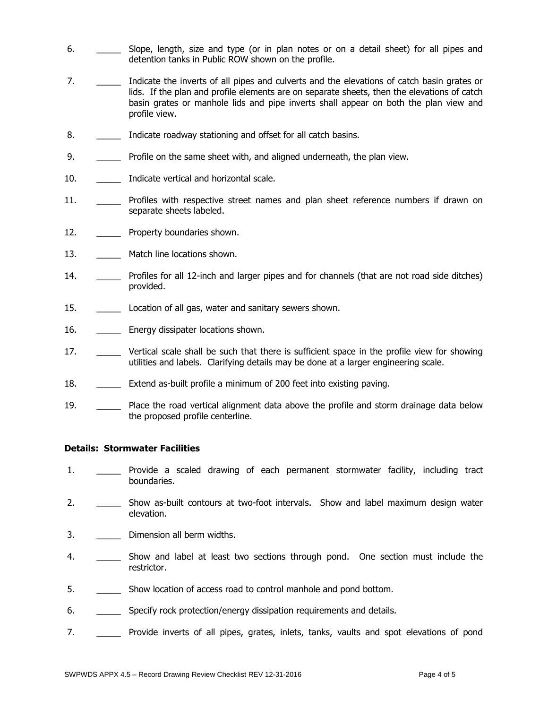- 6. \_\_\_\_\_\_\_\_ Slope, length, size and type (or in plan notes or on a detail sheet) for all pipes and detention tanks in Public ROW shown on the profile.
- 7. \_\_\_\_\_\_\_\_ Indicate the inverts of all pipes and culverts and the elevations of catch basin grates or lids. If the plan and profile elements are on separate sheets, then the elevations of catch basin grates or manhole lids and pipe inverts shall appear on both the plan view and profile view.
- 8. **Indicate roadway stationing and offset for all catch basins.**
- 9. \_\_\_\_\_\_\_ Profile on the same sheet with, and aligned underneath, the plan view.
- 10. **Indicate vertical and horizontal scale.**
- 11. \_\_\_\_\_\_\_ Profiles with respective street names and plan sheet reference numbers if drawn on separate sheets labeled.
- 12. **Example Property boundaries shown.**
- 13. **Match line locations shown.**
- 14. \_\_\_\_\_ Profiles for all 12-inch and larger pipes and for channels (that are not road side ditches) provided.
- 15. \_\_\_\_\_ Location of all gas, water and sanitary sewers shown.
- 16. **\_\_\_\_\_** Energy dissipater locations shown.
- 17. \_\_\_\_\_\_ Vertical scale shall be such that there is sufficient space in the profile view for showing utilities and labels. Clarifying details may be done at a larger engineering scale.
- 18. \_\_\_\_\_\_ Extend as-built profile a minimum of 200 feet into existing paving.
- 19. \_\_\_\_\_ Place the road vertical alignment data above the profile and storm drainage data below the proposed profile centerline.

#### **Details: Stormwater Facilities**

- 1. \_\_\_\_\_ Provide a scaled drawing of each permanent stormwater facility, including tract boundaries.
- 2. \_\_\_\_\_\_\_\_ Show as-built contours at two-foot intervals. Show and label maximum design water elevation.
- 3. **\_\_\_\_\_** Dimension all berm widths.
- 4. \_\_\_\_\_\_\_\_ Show and label at least two sections through pond. One section must include the restrictor.
- 5. \_\_\_\_\_\_\_\_\_ Show location of access road to control manhole and pond bottom.
- 6. \_\_\_\_\_\_\_\_ Specify rock protection/energy dissipation requirements and details.
- 7. \_\_\_\_\_ Provide inverts of all pipes, grates, inlets, tanks, vaults and spot elevations of pond